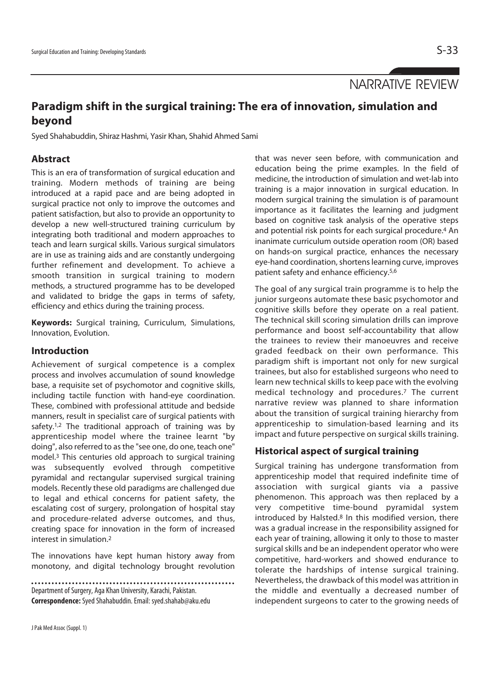NARRATIVE REVIEW

# **Paradigm shift in the surgical training: The era of innovation, simulation and beyond**

Syed Shahabuddin, Shiraz Hashmi, Yasir Khan, Shahid Ahmed Sami

### **Abstract**

This is an era of transformation of surgical education and training. Modern methods of training are being introduced at a rapid pace and are being adopted in surgical practice not only to improve the outcomes and patient satisfaction, but also to provide an opportunity to develop a new well-structured training curriculum by integrating both traditional and modern approaches to teach and learn surgical skills. Various surgical simulators are in use as training aids and are constantly undergoing further refinement and development. To achieve a smooth transition in surgical training to modern methods, a structured programme has to be developed and validated to bridge the gaps in terms of safety, efficiency and ethics during the training process.

**Keywords:** Surgical training, Curriculum, Simulations, Innovation, Evolution.

### **Introduction**

Achievement of surgical competence is a complex process and involves accumulation of sound knowledge base, a requisite set of psychomotor and cognitive skills, including tactile function with hand-eye coordination. These, combined with professional attitude and bedside manners, result in specialist care of surgical patients with safety.<sup>1,2</sup> The traditional approach of training was by apprenticeship model where the trainee learnt "by doing", also referred to as the "see one, do one, teach one" model.3 This centuries old approach to surgical training was subsequently evolved through competitive pyramidal and rectangular supervised surgical training models. Recently these old paradigms are challenged due to legal and ethical concerns for patient safety, the escalating cost of surgery, prolongation of hospital stay and procedure-related adverse outcomes, and thus, creating space for innovation in the form of increased interest in simulation.2

The innovations have kept human history away from monotony, and digital technology brought revolution

Department of Surgery, Aga Khan University, Karachi, Pakistan. **Correspondence:** Syed Shahabuddin. Email: syed.shahab@aku.edu that was never seen before, with communication and education being the prime examples. In the field of medicine, the introduction of simulation and wet-lab into training is a major innovation in surgical education. In modern surgical training the simulation is of paramount importance as it facilitates the learning and judgment based on cognitive task analysis of the operative steps and potential risk points for each surgical procedure.4 An inanimate curriculum outside operation room (OR) based on hands-on surgical practice, enhances the necessary eye-hand coordination, shortens learning curve, improves patient safety and enhance efficiency.5,6

The goal of any surgical train programme is to help the junior surgeons automate these basic psychomotor and cognitive skills before they operate on a real patient. The technical skill scoring simulation drills can improve performance and boost self-accountability that allow the trainees to review their manoeuvres and receive graded feedback on their own performance. This paradigm shift is important not only for new surgical trainees, but also for established surgeons who need to learn new technical skills to keep pace with the evolving medical technology and procedures.7 The current narrative review was planned to share information about the transition of surgical training hierarchy from apprenticeship to simulation-based learning and its impact and future perspective on surgical skills training.

### **Historical aspect of surgical training**

Surgical training has undergone transformation from apprenticeship model that required indefinite time of association with surgical giants via a passive phenomenon. This approach was then replaced by a very competitive time-bound pyramidal system introduced by Halsted.<sup>8</sup> In this modified version, there was a gradual increase in the responsibility assigned for each year of training, allowing it only to those to master surgical skills and be an independent operator who were competitive, hard-workers and showed endurance to tolerate the hardships of intense surgical training. Nevertheless, the drawback of this model was attrition in the middle and eventually a decreased number of independent surgeons to cater to the growing needs of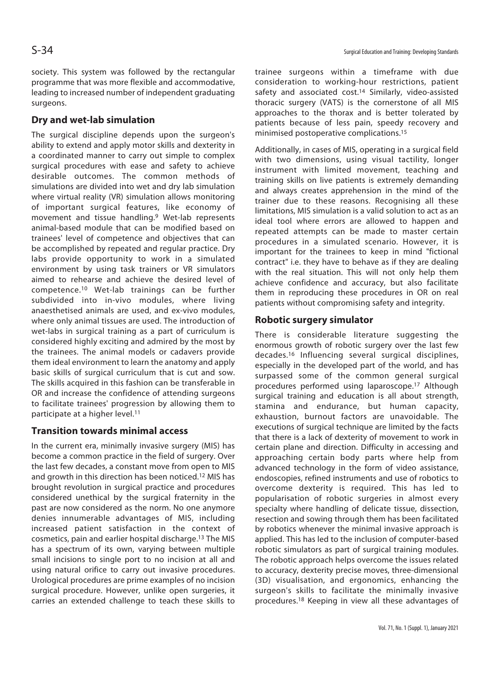society. This system was followed by the rectangular programme that was more flexible and accommodative, leading to increased number of independent graduating surgeons.

### **Dry and wet-lab simulation**

The surgical discipline depends upon the surgeon's ability to extend and apply motor skills and dexterity in a coordinated manner to carry out simple to complex surgical procedures with ease and safety to achieve desirable outcomes. The common methods of simulations are divided into wet and dry lab simulation where virtual reality (VR) simulation allows monitoring of important surgical features, like economy of movement and tissue handling.9 Wet-lab represents animal-based module that can be modified based on trainees' level of competence and objectives that can be accomplished by repeated and regular practice. Dry labs provide opportunity to work in a simulated environment by using task trainers or VR simulators aimed to rehearse and achieve the desired level of competence.10 Wet-lab trainings can be further subdivided into in-vivo modules, where living anaesthetised animals are used, and ex-vivo modules, where only animal tissues are used. The introduction of wet-labs in surgical training as a part of curriculum is considered highly exciting and admired by the most by the trainees. The animal models or cadavers provide them ideal environment to learn the anatomy and apply basic skills of surgical curriculum that is cut and sow. The skills acquired in this fashion can be transferable in OR and increase the confidence of attending surgeons to facilitate trainees' progression by allowing them to participate at a higher level.<sup>11</sup>

## **Transition towards minimal access**

In the current era, minimally invasive surgery (MIS) has become a common practice in the field of surgery. Over the last few decades, a constant move from open to MIS and growth in this direction has been noticed.12 MIS has brought revolution in surgical practice and procedures considered unethical by the surgical fraternity in the past are now considered as the norm. No one anymore denies innumerable advantages of MIS, including increased patient satisfaction in the context of cosmetics, pain and earlier hospital discharge.13 The MIS has a spectrum of its own, varying between multiple small incisions to single port to no incision at all and using natural orifice to carry out invasive procedures. Urological procedures are prime examples of no incision surgical procedure. However, unlike open surgeries, it carries an extended challenge to teach these skills to

trainee surgeons within a timeframe with due consideration to working-hour restrictions, patient safety and associated cost.<sup>14</sup> Similarly, video-assisted thoracic surgery (VATS) is the cornerstone of all MIS approaches to the thorax and is better tolerated by patients because of less pain, speedy recovery and minimised postoperative complications.15

Additionally, in cases of MIS, operating in a surgical field with two dimensions, using visual tactility, longer instrument with limited movement, teaching and training skills on live patients is extremely demanding and always creates apprehension in the mind of the trainer due to these reasons. Recognising all these limitations, MIS simulation is a valid solution to act as an ideal tool where errors are allowed to happen and repeated attempts can be made to master certain procedures in a simulated scenario. However, it is important for the trainees to keep in mind "fictional contract" i.e. they have to behave as if they are dealing with the real situation. This will not only help them achieve confidence and accuracy, but also facilitate them in reproducing these procedures in OR on real patients without compromising safety and integrity.

#### **Robotic surgery simulator**

There is considerable literature suggesting the enormous growth of robotic surgery over the last few decades.16 Influencing several surgical disciplines, especially in the developed part of the world, and has surpassed some of the common general surgical procedures performed using laparoscope.17 Although surgical training and education is all about strength, stamina and endurance, but human capacity, exhaustion, burnout factors are unavoidable. The executions of surgical technique are limited by the facts that there is a lack of dexterity of movement to work in certain plane and direction. Difficulty in accessing and approaching certain body parts where help from advanced technology in the form of video assistance, endoscopies, refined instruments and use of robotics to overcome dexterity is required. This has led to popularisation of robotic surgeries in almost every specialty where handling of delicate tissue, dissection, resection and sowing through them has been facilitated by robotics whenever the minimal invasive approach is applied. This has led to the inclusion of computer-based robotic simulators as part of surgical training modules. The robotic approach helps overcome the issues related to accuracy, dexterity precise moves, three-dimensional (3D) visualisation, and ergonomics, enhancing the surgeon's skills to facilitate the minimally invasive procedures.18 Keeping in view all these advantages of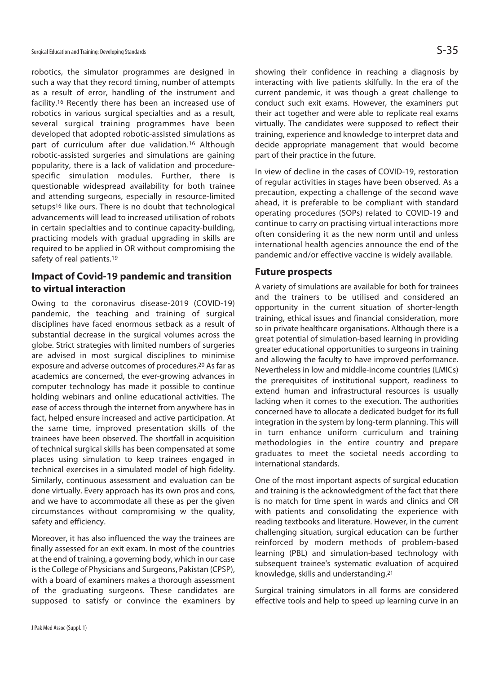robotics, the simulator programmes are designed in such a way that they record timing, number of attempts as a result of error, handling of the instrument and facility.16 Recently there has been an increased use of robotics in various surgical specialties and as a result, several surgical training programmes have been developed that adopted robotic-assisted simulations as part of curriculum after due validation.16 Although robotic-assisted surgeries and simulations are gaining popularity, there is a lack of validation and procedurespecific simulation modules. Further, there is questionable widespread availability for both trainee and attending surgeons, especially in resource-limited setups<sup>16</sup> like ours. There is no doubt that technological advancements will lead to increased utilisation of robots in certain specialties and to continue capacity-building, practicing models with gradual upgrading in skills are required to be applied in OR without compromising the safety of real patients.<sup>19</sup>

### **Impact of Covid-19 pandemic and transition to virtual interaction**

Owing to the coronavirus disease-2019 (COVID-19) pandemic, the teaching and training of surgical disciplines have faced enormous setback as a result of substantial decrease in the surgical volumes across the globe. Strict strategies with limited numbers of surgeries are advised in most surgical disciplines to minimise exposure and adverse outcomes of procedures.20 As far as academics are concerned, the ever-growing advances in computer technology has made it possible to continue holding webinars and online educational activities. The ease of access through the internet from anywhere has in fact, helped ensure increased and active participation. At the same time, improved presentation skills of the trainees have been observed. The shortfall in acquisition of technical surgical skills has been compensated at some places using simulation to keep trainees engaged in technical exercises in a simulated model of high fidelity. Similarly, continuous assessment and evaluation can be done virtually. Every approach has its own pros and cons, and we have to accommodate all these as per the given circumstances without compromising w the quality, safety and efficiency.

Moreover, it has also influenced the way the trainees are finally assessed for an exit exam. In most of the countries at the end of training, a governing body, which in our case is the College of Physicians and Surgeons, Pakistan (CPSP), with a board of examiners makes a thorough assessment of the graduating surgeons. These candidates are supposed to satisfy or convince the examiners by showing their confidence in reaching a diagnosis by interacting with live patients skilfully. In the era of the current pandemic, it was though a great challenge to conduct such exit exams. However, the examiners put their act together and were able to replicate real exams virtually. The candidates were supposed to reflect their training, experience and knowledge to interpret data and decide appropriate management that would become part of their practice in the future.

In view of decline in the cases of COVID-19, restoration of regular activities in stages have been observed. As a precaution, expecting a challenge of the second wave ahead, it is preferable to be compliant with standard operating procedures (SOPs) related to COVID-19 and continue to carry on practising virtual interactions more often considering it as the new norm until and unless international health agencies announce the end of the pandemic and/or effective vaccine is widely available.

#### **Future prospects**

A variety of simulations are available for both for trainees and the trainers to be utilised and considered an opportunity in the current situation of shorter-length training, ethical issues and financial consideration, more so in private healthcare organisations. Although there is a great potential of simulation-based learning in providing greater educational opportunities to surgeons in training and allowing the faculty to have improved performance. Nevertheless in low and middle-income countries (LMICs) the prerequisites of institutional support, readiness to extend human and infrastructural resources is usually lacking when it comes to the execution. The authorities concerned have to allocate a dedicated budget for its full integration in the system by long-term planning. This will in turn enhance uniform curriculum and training methodologies in the entire country and prepare graduates to meet the societal needs according to international standards.

One of the most important aspects of surgical education and training is the acknowledgment of the fact that there is no match for time spent in wards and clinics and OR with patients and consolidating the experience with reading textbooks and literature. However, in the current challenging situation, surgical education can be further reinforced by modern methods of problem-based learning (PBL) and simulation-based technology with subsequent trainee's systematic evaluation of acquired knowledge, skills and understanding.21

Surgical training simulators in all forms are considered effective tools and help to speed up learning curve in an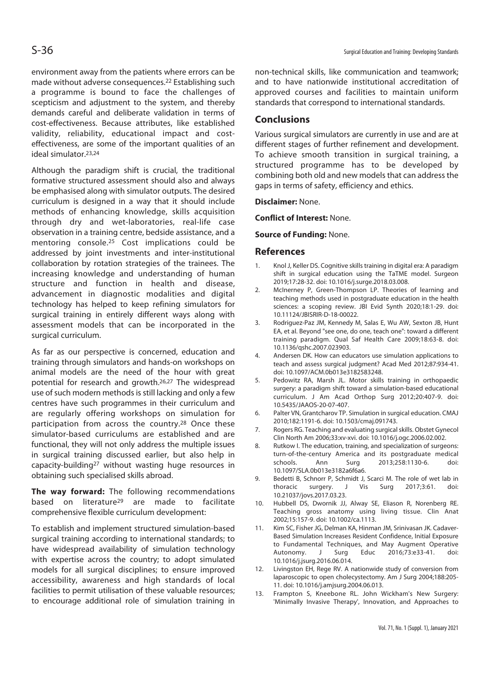environment away from the patients where errors can be made without adverse consequences.22 Establishing such a programme is bound to face the challenges of scepticism and adjustment to the system, and thereby demands careful and deliberate validation in terms of cost-effectiveness. Because attributes, like established validity, reliability, educational impact and costeffectiveness, are some of the important qualities of an ideal simulator.23,24

Although the paradigm shift is crucial, the traditional formative structured assessment should also and always be emphasised along with simulator outputs. The desired curriculum is designed in a way that it should include methods of enhancing knowledge, skills acquisition through dry and wet-laboratories, real-life case observation in a training centre, bedside assistance, and a mentoring console.25 Cost implications could be addressed by joint investments and inter-institutional collaboration by rotation strategies of the trainees. The increasing knowledge and understanding of human structure and function in health and disease, advancement in diagnostic modalities and digital technology has helped to keep refining simulators for surgical training in entirely different ways along with assessment models that can be incorporated in the surgical curriculum.

As far as our perspective is concerned, education and training through simulators and hands-on workshops on animal models are the need of the hour with great potential for research and growth.26,27 The widespread use of such modern methods is still lacking and only a few centres have such programmes in their curriculum and are regularly offering workshops on simulation for participation from across the country.28 Once these simulator-based curriculums are established and are functional, they will not only address the multiple issues in surgical training discussed earlier, but also help in capacity-building27 without wasting huge resources in obtaining such specialised skills abroad.

**The way forward:** The following recommendations based on literature29 are made to facilitate comprehensive flexible curriculum development:

To establish and implement structured simulation-based surgical training according to international standards; to have widespread availability of simulation technology with expertise across the country; to adopt simulated models for all surgical disciplines; to ensure improved accessibility, awareness and high standards of local facilities to permit utilisation of these valuable resources; to encourage additional role of simulation training in non-technical skills, like communication and teamwork; and to have nationwide institutional accreditation of approved courses and facilities to maintain uniform standards that correspond to international standards.

#### **Conclusions**

Various surgical simulators are currently in use and are at different stages of further refinement and development. To achieve smooth transition in surgical training, a structured programme has to be developed by combining both old and new models that can address the gaps in terms of safety, efficiency and ethics.

**Disclaimer:** None.

**Conflict of Interest:** None.

**Source of Funding:** None.

#### **References**

- 1. Knol J, Keller DS. Cognitive skills training in digital era: A paradigm shift in surgical education using the TaTME model. Surgeon 2019;17:28-32. doi: 10.1016/j.surge.2018.03.008.
- 2. McInerney P, Green-Thompson LP. Theories of learning and teaching methods used in postgraduate education in the health sciences: a scoping review. JBI Evid Synth 2020;18:1-29. doi: 10.11124/JBISRIR-D-18-00022.
- 3. Rodriguez-Paz JM, Kennedy M, Salas E, Wu AW, Sexton JB, Hunt EA, et al. Beyond "see one, do one, teach one": toward a different training paradigm. Qual Saf Health Care 2009;18:63-8. doi: 10.1136/qshc.2007.023903.
- 4. Andersen DK. How can educators use simulation applications to teach and assess surgical judgment? Acad Med 2012;87:934-41. doi: 10.1097/ACM.0b013e3182583248.
- 5. Pedowitz RA, Marsh JL. Motor skills training in orthopaedic surgery: a paradigm shift toward a simulation-based educational curriculum. J Am Acad Orthop Surg 2012;20:407-9. doi: 10.5435/JAAOS-20-07-407.
- 6. Palter VN, Grantcharov TP. Simulation in surgical education. CMAJ 2010;182:1191-6. doi: 10.1503/cmaj.091743.
- 7. Rogers RG. Teaching and evaluating surgical skills. Obstet Gynecol Clin North Am 2006;33:xv-xvi. doi: 10.1016/j.ogc.2006.02.002.
- 8. Rutkow I. The education, training, and specialization of surgeons: turn-of-the-century America and its postgraduate medical schools. Ann Surg 2013;258:1130-6. doi: 10.1097/SLA.0b013e3182a6f6a6.
- 9. Bedetti B, Schnorr P, Schmidt J, Scarci M. The role of wet lab in thoracic surgery. J Vis Surg 2017;3:61. doi: 10.21037/jovs.2017.03.23.
- 10. Hubbell DS, Dwornik JJ, Alway SE, Eliason R, Norenberg RE. Teaching gross anatomy using living tissue. Clin Anat 2002;15:157-9. doi: 10.1002/ca.1113.
- 11. Kim SC, Fisher JG, Delman KA, Hinman JM, Srinivasan JK. Cadaver-Based Simulation Increases Resident Confidence, Initial Exposure to Fundamental Techniques, and May Augment Operative Autonomy. J Surg Educ 2016;73:e33-41. doi: 10.1016/j.jsurg.2016.06.014.
- 12. Livingston EH, Rege RV. A nationwide study of conversion from laparoscopic to open cholecystectomy. Am J Surg 2004;188:205- 11. doi: 10.1016/j.amjsurg.2004.06.013.
- 13. Frampton S, Kneebone RL. John Wickham's New Surgery: 'Minimally Invasive Therapy', Innovation, and Approaches to